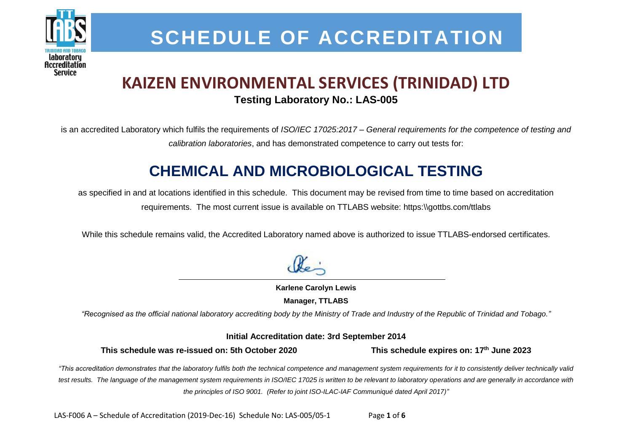

## **SCHEDULE OF ACCREDITATION**

## **KAIZEN ENVIRONMENTAL SERVICES (TRINIDAD) LTD Testing Laboratory No.: LAS-005**

is an accredited Laboratory which fulfils the requirements of *ISO/IEC 17025:2017 – General requirements for the competence of testing and calibration laboratories*, and has demonstrated competence to carry out tests for:

## **CHEMICAL AND MICROBIOLOGICAL TESTING**

as specified in and at locations identified in this schedule. This document may be revised from time to time based on accreditation requirements. The most current issue is available on TTLABS website: https:\\gottbs.com/ttlabs

While this schedule remains valid, the Accredited Laboratory named above is authorized to issue TTLABS-endorsed certificates.

**Karlene Carolyn Lewis Manager, TTLABS**

*"Recognised as the official national laboratory accrediting body by the Ministry of Trade and Industry of the Republic of Trinidad and Tobago."*

**Initial Accreditation date: 3rd September 2014**

**This schedule was re-issued on: 5th October 2020 This schedule expires on: 17th June 2023**

*"This accreditation demonstrates that the laboratory fulfils both the technical competence and management system requirements for it to consistently deliver technically valid test results. The language of the management system requirements in ISO/IEC 17025 is written to be relevant to laboratory operations and are generally in accordance with the principles of ISO 9001. (Refer to joint ISO-ILAC-IAF Communiqué dated April 2017)"*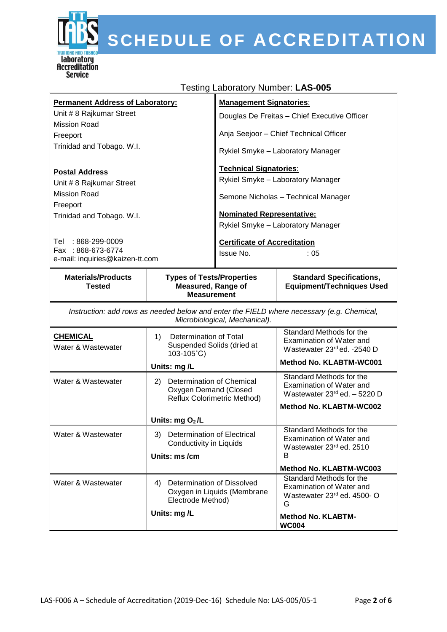

# S SCHEDULE OF ACCREDITATION

| <b>Permanent Address of Laboratory:</b>                                       | <b>Management Signatories:</b>                           |  |
|-------------------------------------------------------------------------------|----------------------------------------------------------|--|
| Unit # 8 Rajkumar Street                                                      | Douglas De Freitas – Chief Executive Officer             |  |
| Mission Road                                                                  |                                                          |  |
| Freeport                                                                      | Anja Seejoor - Chief Technical Officer                   |  |
| Trinidad and Tobago. W.I.                                                     | Rykiel Smyke - Laboratory Manager                        |  |
| <b>Postal Address</b>                                                         | <b>Technical Signatories:</b>                            |  |
| Unit # 8 Rajkumar Street                                                      | Rykiel Smyke – Laboratory Manager                        |  |
| Mission Road                                                                  | Semone Nicholas - Technical Manager                      |  |
| Freeport                                                                      |                                                          |  |
| Trinidad and Tobago. W.I.                                                     | <b>Nominated Representative:</b>                         |  |
|                                                                               | Rykiel Smyke - Laboratory Manager                        |  |
| : 868-299-0009<br>Tel<br>Fax: 868-673-6774<br>e-mail: inquiries@kaizen-tt.com | <b>Certificate of Accreditation</b><br>Issue No.<br>: 05 |  |

#### Testing Laboratory Number: **LAS-005**

| <b>Materials/Products</b><br><b>Tested</b>                                                                                        | <b>Types of Tests/Properties</b><br><b>Measured, Range of</b><br><b>Measurement</b>            | <b>Standard Specifications,</b><br><b>Equipment/Techniques Used</b>                                                       |
|-----------------------------------------------------------------------------------------------------------------------------------|------------------------------------------------------------------------------------------------|---------------------------------------------------------------------------------------------------------------------------|
| Instruction: add rows as needed below and enter the <b>FIELD</b> where necessary (e.g. Chemical,<br>Microbiological, Mechanical). |                                                                                                |                                                                                                                           |
| <b>CHEMICAL</b><br>Water & Wastewater                                                                                             | Determination of Total<br>1)<br>Suspended Solids (dried at<br>103-105°C)<br>Units: mg/L        | Standard Methods for the<br>Examination of Water and<br>Wastewater 23rd ed. -2540 D<br><b>Method No. KLABTM-WC001</b>     |
| Water & Wastewater                                                                                                                | Determination of Chemical<br>2)<br>Oxygen Demand (Closed<br><b>Reflux Colorimetric Method)</b> | Standard Methods for the<br>Examination of Water and<br>Wastewater $23rd$ ed. $-5220$ D<br><b>Method No. KLABTM-WC002</b> |
|                                                                                                                                   | Units: $mgQ_2/L$                                                                               |                                                                                                                           |
| Water & Wastewater                                                                                                                | <b>Determination of Electrical</b><br>3)<br>Conductivity in Liquids                            | Standard Methods for the<br>Examination of Water and<br>Wastewater 23rd ed. 2510                                          |
|                                                                                                                                   | Units: ms /cm                                                                                  | B                                                                                                                         |
|                                                                                                                                   |                                                                                                | Method No. KLABTM-WC003                                                                                                   |
| Water & Wastewater                                                                                                                | Determination of Dissolved<br>4)<br>Oxygen in Liquids (Membrane<br>Electrode Method)           | Standard Methods for the<br>Examination of Water and<br>Wastewater 23rd ed. 4500- O<br>G                                  |
|                                                                                                                                   | Units: mg/L                                                                                    | <b>Method No. KLABTM-</b><br><b>WC004</b>                                                                                 |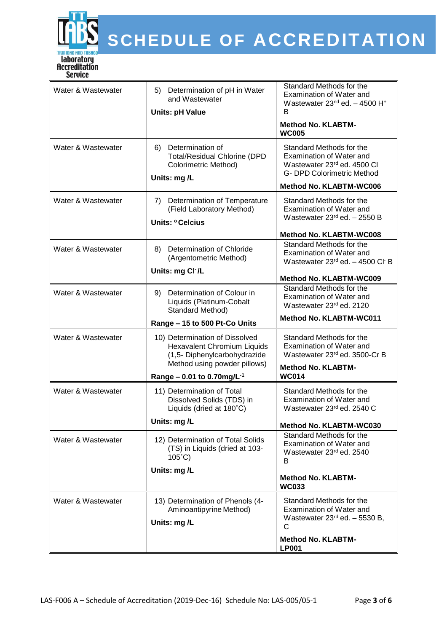

| Water & Wastewater<br>Water & Wastewater | 5) Determination of pH in Water<br>and Wastewater<br><b>Units: pH Value</b><br>Determination of<br>6)<br><b>Total/Residual Chlorine (DPD</b><br><b>Colorimetric Method)</b><br>Units: mg/L | Standard Methods for the<br>Examination of Water and<br>Wastewater $23^{nd}$ ed. $-$ 4500 H <sup>+</sup><br>B<br><b>Method No. KLABTM-</b><br><b>WC005</b><br>Standard Methods for the<br>Examination of Water and<br>Wastewater 23rd ed. 4500 Cl<br>G- DPD Colorimetric Method<br>Method No. KLABTM-WC006 |
|------------------------------------------|--------------------------------------------------------------------------------------------------------------------------------------------------------------------------------------------|------------------------------------------------------------------------------------------------------------------------------------------------------------------------------------------------------------------------------------------------------------------------------------------------------------|
| Water & Wastewater                       | 7) Determination of Temperature<br>(Field Laboratory Method)<br>Units: ° Celcius                                                                                                           | Standard Methods for the<br>Examination of Water and<br>Wastewater $23rd$ ed. - 2550 B<br><b>Method No. KLABTM-WC008</b>                                                                                                                                                                                   |
| Water & Wastewater                       | Determination of Chloride<br>8)<br>(Argentometric Method)<br>Units: mg Cl <sup>-</sup> /L                                                                                                  | Standard Methods for the<br>Examination of Water and<br>Wastewater 23rd ed. - 4500 Cl B<br>Method No. KLABTM-WC009                                                                                                                                                                                         |
| Water & Wastewater                       | Determination of Colour in<br>9)<br>Liquids (Platinum-Cobalt<br>Standard Method)<br>Range - 15 to 500 Pt-Co Units                                                                          | Standard Methods for the<br>Examination of Water and<br>Wastewater 23rd ed. 2120<br>Method No. KLABTM-WC011                                                                                                                                                                                                |
| Water & Wastewater                       | 10) Determination of Dissolved<br>Hexavalent Chromium Liquids<br>(1,5- Diphenylcarbohydrazide<br>Method using powder pillows)<br>Range – 0.01 to 0.70mg/L <sup>-1</sup>                    | Standard Methods for the<br>Examination of Water and<br>Wastewater 23rd ed. 3500-Cr B<br><b>Method No. KLABTM-</b><br><b>WC014</b>                                                                                                                                                                         |
| Water & Wastewater                       | 11) Determination of Total<br>Dissolved Solids (TDS) in<br>Liquids (dried at 180°C)<br>Units: mg/L                                                                                         | Standard Methods for the<br>Examination of Water and<br>Wastewater 23rd ed. 2540 C<br><b>Method No. KLABTM-WC030</b>                                                                                                                                                                                       |
| Water & Wastewater                       | 12) Determination of Total Solids<br>(TS) in Liquids (dried at 103-<br>$105^{\circ}$ C)<br>Units: mg/L                                                                                     | Standard Methods for the<br>Examination of Water and<br>Wastewater 23rd ed. 2540<br>B<br><b>Method No. KLABTM-</b><br><b>WC033</b>                                                                                                                                                                         |
| Water & Wastewater                       | 13) Determination of Phenols (4-<br>Aminoantipyrine Method)<br>Units: mg/L                                                                                                                 | Standard Methods for the<br>Examination of Water and<br>Wastewater $23^{rd}$ ed. $-5530$ B,<br>C<br><b>Method No. KLABTM-</b><br><b>LP001</b>                                                                                                                                                              |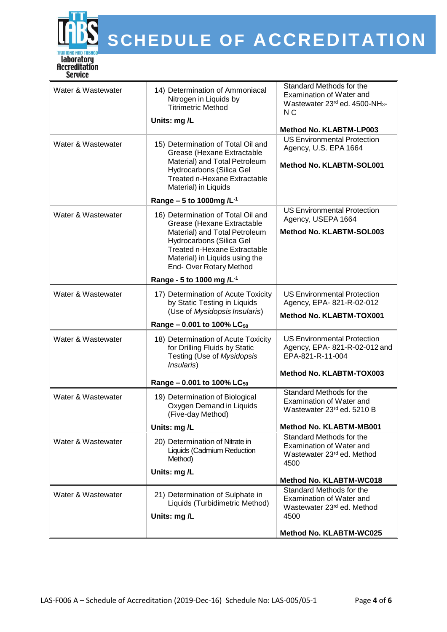

| Water & Wastewater | 14) Determination of Ammoniacal<br>Nitrogen in Liquids by<br><b>Titrimetric Method</b>                                                                                                       | Standard Methods for the<br><b>Examination of Water and</b><br>Wastewater 23rd ed. 4500-NH <sub>3</sub> -<br>N C |
|--------------------|----------------------------------------------------------------------------------------------------------------------------------------------------------------------------------------------|------------------------------------------------------------------------------------------------------------------|
|                    | Units: mg/L                                                                                                                                                                                  | Method No. KLABTM-LP003                                                                                          |
| Water & Wastewater | 15) Determination of Total Oil and<br>Grease (Hexane Extractable<br>Material) and Total Petroleum<br>Hydrocarbons (Silica Gel<br><b>Treated n-Hexane Extractable</b><br>Material) in Liquids | <b>US Environmental Protection</b><br>Agency, U.S. EPA 1664<br>Method No. KLABTM-SOL001                          |
|                    | Range - 5 to 1000mg / $L^{-1}$                                                                                                                                                               |                                                                                                                  |
| Water & Wastewater | 16) Determination of Total Oil and<br>Grease (Hexane Extractable<br>Material) and Total Petroleum                                                                                            | <b>US Environmental Protection</b><br>Agency, USEPA 1664<br>Method No. KLABTM-SOL003                             |
|                    | Hydrocarbons (Silica Gel<br><b>Treated n-Hexane Extractable</b><br>Material) in Liquids using the<br>End-Over Rotary Method                                                                  |                                                                                                                  |
|                    | Range - 5 to 1000 mg /L <sup>-1</sup>                                                                                                                                                        |                                                                                                                  |
| Water & Wastewater | 17) Determination of Acute Toxicity<br>by Static Testing in Liquids<br>(Use of Mysidopsis Insularis)                                                                                         | <b>US Environmental Protection</b><br>Agency, EPA- 821-R-02-012<br>Method No. KLABTM-TOX001                      |
|                    | Range - 0.001 to 100% LC <sub>50</sub>                                                                                                                                                       |                                                                                                                  |
| Water & Wastewater | 18) Determination of Acute Toxicity<br>for Drilling Fluids by Static<br>Testing (Use of Mysidopsis<br>Insularis)                                                                             | <b>US Environmental Protection</b><br>Agency, EPA-821-R-02-012 and<br>EPA-821-R-11-004                           |
|                    | Range - 0.001 to 100% LC <sub>50</sub>                                                                                                                                                       | Method No. KLABTM-TOX003                                                                                         |
| Water & Wastewater | 19) Determination of Biological<br>Oxygen Demand in Liquids<br>(Five-day Method)                                                                                                             | Standard Methods for the<br>Examination of Water and<br>Wastewater 23rd ed. 5210 B                               |
|                    | Units: mg/L                                                                                                                                                                                  | Method No. KLABTM-MB001                                                                                          |
| Water & Wastewater | 20) Determination of Nitrate in<br>Liquids (Cadmium Reduction<br>Method)                                                                                                                     | Standard Methods for the<br>Examination of Water and<br>Wastewater 23rd ed. Method<br>4500                       |
|                    | Units: mg/L                                                                                                                                                                                  | Method No. KLABTM-WC018                                                                                          |
| Water & Wastewater | 21) Determination of Sulphate in<br>Liquids (Turbidimetric Method)<br>Units: mg/L                                                                                                            | Standard Methods for the<br>Examination of Water and<br>Wastewater 23rd ed. Method<br>4500                       |
|                    |                                                                                                                                                                                              | Method No. KLABTM-WC025                                                                                          |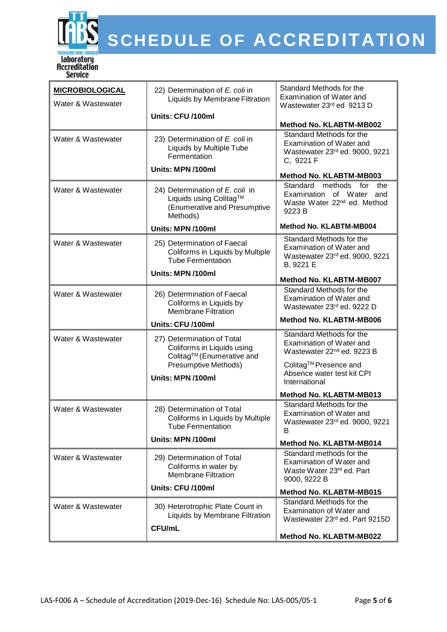

| <b>MICROBIOLOGICAL</b><br>Water & Wastewater | 22) Determination of E. coli in<br>Liquids by Membrane Filtration                                     | Standard Methods for the<br>Examination of Water and<br>Wastewater 23rd ed 9213 D                                     |
|----------------------------------------------|-------------------------------------------------------------------------------------------------------|-----------------------------------------------------------------------------------------------------------------------|
|                                              | Units: CFU /100ml                                                                                     | Method No. KLABTM-MB002                                                                                               |
| Water & Wastewater                           | 23) Determination of E. coli in<br>Liquids by Multiple Tube<br>Fermentation                           | Standard Methods for the<br>Examination of Water and<br>Wastewater 23rd ed. 9000, 9221<br>C, 9221 F                   |
|                                              | Units: MPN /100ml                                                                                     | Method No. KLABTM-MB003                                                                                               |
| Water & Wastewater                           | 24) Determination of E. coli in<br>Liquids using Colitag™<br>(Enumerative and Presumptive<br>Methods) | methods<br>Standard<br>for<br>the<br>Examination of Water<br>and<br>Waste Water 22 <sup>nd</sup> ed. Method<br>9223 B |
|                                              | Units: MPN /100ml                                                                                     | Method No. KLABTM-MB004                                                                                               |
| Water & Wastewater                           | 25) Determination of Faecal<br>Coliforms in Liquids by Multiple<br><b>Tube Fermentation</b>           | Standard Methods for the<br>Examination of Water and<br>Wastewater 23rd ed. 9000, 9221<br>B, 9221 E                   |
|                                              | Units: MPN /100ml                                                                                     | Method No. KLABTM-MB007                                                                                               |
| Water & Wastewater                           | 26) Determination of Faecal<br>Coliforms in Liquids by<br><b>Membrane Filtration</b>                  | Standard Methods for the<br>Examination of Water and<br>Wastewater 23rd ed. 9222 D                                    |
|                                              |                                                                                                       |                                                                                                                       |
|                                              | Units: CFU /100ml                                                                                     | Method No. KLABTM-MB006                                                                                               |
| Water & Wastewater                           | 27) Determination of Total<br>Coliforms in Liquids using                                              | Standard Methods for the<br>Examination of Water and<br>Wastewater 22 <sup>nd</sup> ed. 9223 B                        |
|                                              | Colitag™ (Enumerative and<br>Presumptive Methods)<br>Units: MPN /100ml                                | Colitag™ Presence and<br>Absence water test kit CPI<br>International                                                  |
|                                              |                                                                                                       | Method No. KLABTM-MB013                                                                                               |
| Water & Wastewater                           | 28) Determination of Total<br>Coliforms in Liquids by Multiple<br><b>Tube Fermentation</b>            | Standard Methods for the<br>Examination of Water and<br>Wastewater 23rd ed. 9000, 9221<br>B                           |
|                                              | Units: MPN /100ml                                                                                     | Method No. KLABTM-MB014                                                                                               |
| Water & Wastewater                           | 29) Determination of Total<br>Coliforms in water by<br><b>Membrane Filtration</b>                     | Standard methods for the<br>Examination of Water and<br>Waste Water 23rd ed. Part<br>9000, 9222 B                     |
|                                              | Units: CFU /100ml                                                                                     | Method No. KLABTM-MB015                                                                                               |
| Water & Wastewater                           | 30) Heterotrophic Plate Count in<br>Liquids by Membrane Filtration<br><b>CFU/mL</b>                   | Standard Methods for the<br>Examination of Water and<br>Wastewater 23rd ed. Part 9215D<br>Method No. KLABTM-MB022     |